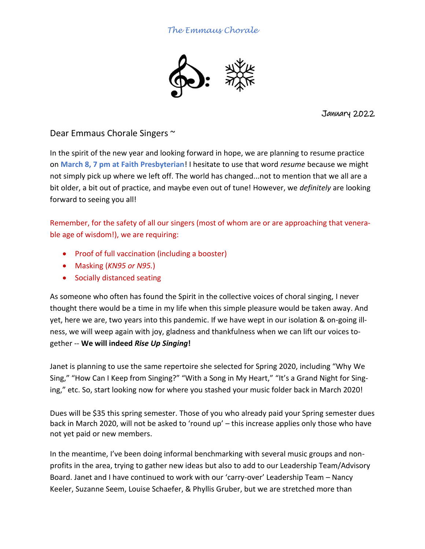## *The Emmaus Chorale*



January 2022

Dear Emmaus Chorale Singers ~

In the spirit of the new year and looking forward in hope, we are planning to resume practice on **March 8, 7 pm at Faith Presbyterian**! I hesitate to use that word *resume* because we might not simply pick up where we left off. The world has changed...not to mention that we all are a bit older, a bit out of practice, and maybe even out of tune! However, we *definitely* are looking forward to seeing you all!

Remember, for the safety of all our singers (most of whom are or are approaching that venerable age of wisdom!), we are requiring:

- Proof of full vaccination (including a booster)
- Masking (*KN95 or N95.*)
- Socially distanced seating

As someone who often has found the Spirit in the collective voices of choral singing, I never thought there would be a time in my life when this simple pleasure would be taken away. And yet, here we are, two years into this pandemic. If we have wept in our isolation & on-going illness, we will weep again with joy, gladness and thankfulness when we can lift our voices together -- **We will indeed** *Rise Up Singing***!**

Janet is planning to use the same repertoire she selected for Spring 2020, including "Why We Sing," "How Can I Keep from Singing?" "With a Song in My Heart," "It's a Grand Night for Singing," etc. So, start looking now for where you stashed your music folder back in March 2020!

Dues will be \$35 this spring semester. Those of you who already paid your Spring semester dues back in March 2020, will not be asked to 'round up' – this increase applies only those who have not yet paid or new members.

In the meantime, I've been doing informal benchmarking with several music groups and nonprofits in the area, trying to gather new ideas but also to add to our Leadership Team/Advisory Board. Janet and I have continued to work with our 'carry-over' Leadership Team – Nancy Keeler, Suzanne Seem, Louise Schaefer, & Phyllis Gruber, but we are stretched more than